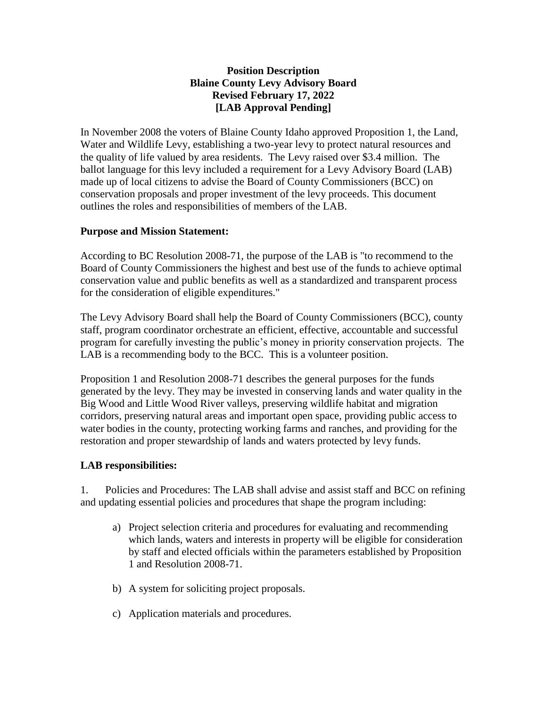## **Position Description Blaine County Levy Advisory Board Revised February 17, 2022 [LAB Approval Pending]**

In November 2008 the voters of Blaine County Idaho approved Proposition 1, the Land, Water and Wildlife Levy, establishing a two-year levy to protect natural resources and the quality of life valued by area residents. The Levy raised over \$3.4 million. The ballot language for this levy included a requirement for a Levy Advisory Board (LAB) made up of local citizens to advise the Board of County Commissioners (BCC) on conservation proposals and proper investment of the levy proceeds. This document outlines the roles and responsibilities of members of the LAB.

## **Purpose and Mission Statement:**

According to BC Resolution 2008-71, the purpose of the LAB is "to recommend to the Board of County Commissioners the highest and best use of the funds to achieve optimal conservation value and public benefits as well as a standardized and transparent process for the consideration of eligible expenditures."

The Levy Advisory Board shall help the Board of County Commissioners (BCC), county staff, program coordinator orchestrate an efficient, effective, accountable and successful program for carefully investing the public's money in priority conservation projects. The LAB is a recommending body to the BCC. This is a volunteer position.

Proposition 1 and Resolution 2008-71 describes the general purposes for the funds generated by the levy. They may be invested in conserving lands and water quality in the Big Wood and Little Wood River valleys, preserving wildlife habitat and migration corridors, preserving natural areas and important open space, providing public access to water bodies in the county, protecting working farms and ranches, and providing for the restoration and proper stewardship of lands and waters protected by levy funds.

## **LAB responsibilities:**

1. Policies and Procedures: The LAB shall advise and assist staff and BCC on refining and updating essential policies and procedures that shape the program including:

- a) Project selection criteria and procedures for evaluating and recommending which lands, waters and interests in property will be eligible for consideration by staff and elected officials within the parameters established by Proposition 1 and Resolution 2008-71.
- b) A system for soliciting project proposals.
- c) Application materials and procedures.